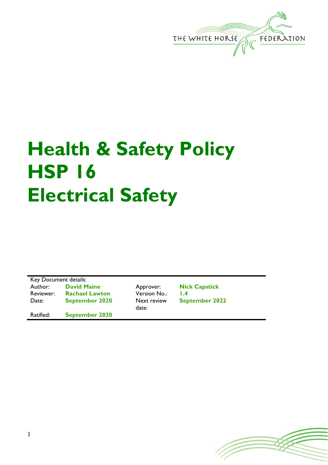

# **Health & Safety Policy HSP 16 Electrical Safety**

Key Document details: Author: **David Maine Approver: Nick Capstick**<br>
Reviewer: **Rachael Lawton Version No.: 1.4** Rachael Lawton Version No.: 1.4 Date: **September 2020** Next review

Ratified: **September 2020**

date:

**September 2022**

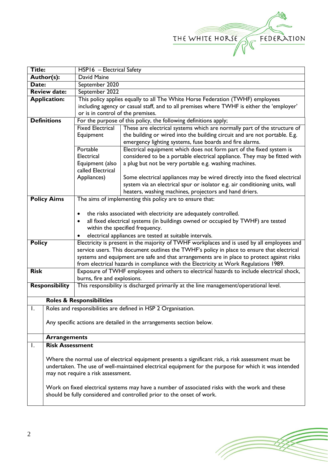

| <b>Title:</b>       |                                                                                                       | HSP16 - Electrical Safety                                                                           |                                                                                           |  |  |  |
|---------------------|-------------------------------------------------------------------------------------------------------|-----------------------------------------------------------------------------------------------------|-------------------------------------------------------------------------------------------|--|--|--|
| Author(s):          |                                                                                                       | David Maine                                                                                         |                                                                                           |  |  |  |
| Date:               |                                                                                                       | September 2020                                                                                      |                                                                                           |  |  |  |
| <b>Review date:</b> |                                                                                                       | September 2022                                                                                      |                                                                                           |  |  |  |
| <b>Application:</b> |                                                                                                       | This policy applies equally to all The White Horse Federation (TWHF) employees                      |                                                                                           |  |  |  |
|                     |                                                                                                       |                                                                                                     | including agency or casual staff, and to all premises where TWHF is either the 'employer' |  |  |  |
|                     |                                                                                                       | or is in control of the premises.                                                                   |                                                                                           |  |  |  |
| <b>Definitions</b>  |                                                                                                       | For the purpose of this policy, the following definitions apply;                                    |                                                                                           |  |  |  |
|                     |                                                                                                       | <b>Fixed Electrical</b>                                                                             | These are electrical systems which are normally part of the structure of                  |  |  |  |
|                     |                                                                                                       | Equipment                                                                                           | the building or wired into the building circuit and are not portable. E.g.                |  |  |  |
|                     |                                                                                                       |                                                                                                     | emergency lighting systems, fuse boards and fire alarms.                                  |  |  |  |
|                     |                                                                                                       | Portable                                                                                            | Electrical equipment which does not form part of the fixed system is                      |  |  |  |
|                     |                                                                                                       | Electrical                                                                                          | considered to be a portable electrical appliance. They may be fitted with                 |  |  |  |
|                     |                                                                                                       | Equipment (also                                                                                     | a plug but not be very portable e.g. washing machines.                                    |  |  |  |
|                     |                                                                                                       | called Electrical                                                                                   |                                                                                           |  |  |  |
|                     |                                                                                                       | Appliances)                                                                                         | Some electrical appliances may be wired directly into the fixed electrical                |  |  |  |
|                     |                                                                                                       |                                                                                                     | system via an electrical spur or isolator e.g. air conditioning units, wall               |  |  |  |
|                     |                                                                                                       |                                                                                                     | heaters, washing machines, projectors and hand driers.                                    |  |  |  |
| <b>Policy Aims</b>  |                                                                                                       | The aims of implementing this policy are to ensure that:                                            |                                                                                           |  |  |  |
|                     |                                                                                                       |                                                                                                     |                                                                                           |  |  |  |
|                     |                                                                                                       | the risks associated with electricity are adequately controlled.                                    |                                                                                           |  |  |  |
|                     |                                                                                                       | all fixed electrical systems (in buildings owned or occupied by TWHF) are tested                    |                                                                                           |  |  |  |
|                     |                                                                                                       | within the specified frequency.                                                                     |                                                                                           |  |  |  |
|                     |                                                                                                       | electrical appliances are tested at suitable intervals.                                             |                                                                                           |  |  |  |
| <b>Policy</b>       |                                                                                                       | Electricity is present in the majority of TWHF workplaces and is used by all employees and          |                                                                                           |  |  |  |
|                     |                                                                                                       | service users. This document outlines the TWHF's policy in place to ensure that electrical          |                                                                                           |  |  |  |
|                     |                                                                                                       | systems and equipment are safe and that arrangements are in place to protect against risks          |                                                                                           |  |  |  |
|                     |                                                                                                       | from electrical hazards in compliance with the Electricity at Work Regulations 1989.                |                                                                                           |  |  |  |
| <b>Risk</b>         |                                                                                                       | Exposure of TWHF employees and others to electrical hazards to include electrical shock,            |                                                                                           |  |  |  |
|                     |                                                                                                       | burns, fire and explosions.                                                                         |                                                                                           |  |  |  |
|                     | <b>Responsibility</b>                                                                                 | This responsibility is discharged primarily at the line management/operational level.               |                                                                                           |  |  |  |
|                     |                                                                                                       |                                                                                                     |                                                                                           |  |  |  |
|                     |                                                                                                       | <b>Roles &amp; Responsibilities</b>                                                                 |                                                                                           |  |  |  |
| Ι.                  |                                                                                                       | Roles and responsibilities are defined in HSP 2 Organisation.                                       |                                                                                           |  |  |  |
|                     |                                                                                                       |                                                                                                     |                                                                                           |  |  |  |
|                     | Any specific actions are detailed in the arrangements section below.                                  |                                                                                                     |                                                                                           |  |  |  |
|                     |                                                                                                       |                                                                                                     |                                                                                           |  |  |  |
|                     | <b>Arrangements</b>                                                                                   |                                                                                                     |                                                                                           |  |  |  |
| Ι.                  | <b>Risk Assessment</b>                                                                                |                                                                                                     |                                                                                           |  |  |  |
|                     |                                                                                                       |                                                                                                     |                                                                                           |  |  |  |
|                     |                                                                                                       | Where the normal use of electrical equipment presents a significant risk, a risk assessment must be |                                                                                           |  |  |  |
|                     | undertaken. The use of well-maintained electrical equipment for the purpose for which it was intended |                                                                                                     |                                                                                           |  |  |  |
|                     | may not require a risk assessment.                                                                    |                                                                                                     |                                                                                           |  |  |  |
|                     |                                                                                                       |                                                                                                     |                                                                                           |  |  |  |
|                     |                                                                                                       | Work on fixed electrical systems may have a number of associated risks with the work and these      |                                                                                           |  |  |  |
|                     |                                                                                                       | should be fully considered and controlled prior to the onset of work.                               |                                                                                           |  |  |  |
|                     |                                                                                                       |                                                                                                     |                                                                                           |  |  |  |

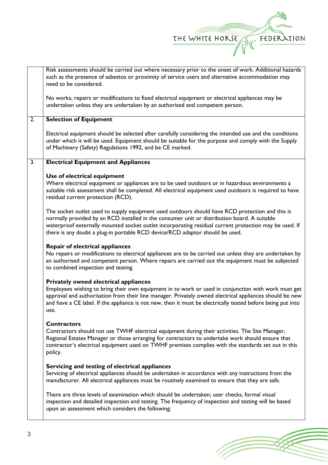

|                  | Risk assessments should be carried out where necessary prior to the onset of work. Additional hazards                                                             |  |  |  |  |  |
|------------------|-------------------------------------------------------------------------------------------------------------------------------------------------------------------|--|--|--|--|--|
|                  | such as the presence of asbestos or proximity of service users and alternative accommodation may                                                                  |  |  |  |  |  |
|                  | need to be considered.                                                                                                                                            |  |  |  |  |  |
|                  |                                                                                                                                                                   |  |  |  |  |  |
|                  | No works, repairs or modifications to fixed electrical equipment or electrical appliances may be                                                                  |  |  |  |  |  |
|                  | undertaken unless they are undertaken by an authorised and competent person.                                                                                      |  |  |  |  |  |
|                  |                                                                                                                                                                   |  |  |  |  |  |
| $\overline{2}$ . | <b>Selection of Equipment</b>                                                                                                                                     |  |  |  |  |  |
|                  |                                                                                                                                                                   |  |  |  |  |  |
|                  | Electrical equipment should be selected after carefully considering the intended use and the conditions                                                           |  |  |  |  |  |
|                  | under which it will be used. Equipment should be suitable for the purpose and comply with the Supply<br>of Machinery (Safety) Regulations 1992, and be CE marked. |  |  |  |  |  |
|                  |                                                                                                                                                                   |  |  |  |  |  |
|                  |                                                                                                                                                                   |  |  |  |  |  |
| $\overline{3}$ . | <b>Electrical Equipment and Appliances</b>                                                                                                                        |  |  |  |  |  |
|                  |                                                                                                                                                                   |  |  |  |  |  |
|                  | Use of electrical equipment                                                                                                                                       |  |  |  |  |  |
|                  | Where electrical equipment or appliances are to be used outdoors or in hazardous environments a                                                                   |  |  |  |  |  |
|                  | suitable risk assessment shall be completed. All electrical equipment used outdoors is required to have                                                           |  |  |  |  |  |
|                  | residual current protection (RCD).                                                                                                                                |  |  |  |  |  |
|                  |                                                                                                                                                                   |  |  |  |  |  |
|                  | The socket outlet used to supply equipment used outdoors should have RCD protection and this is                                                                   |  |  |  |  |  |
|                  | normally provided by an RCD installed in the consumer unit or distribution board. A suitable                                                                      |  |  |  |  |  |
|                  | waterproof externally mounted socket outlet incorporating residual current protection may be used. If                                                             |  |  |  |  |  |
|                  |                                                                                                                                                                   |  |  |  |  |  |
|                  | there is any doubt a plug-in portable RCD device/RCD adaptor should be used.                                                                                      |  |  |  |  |  |
|                  | <b>Repair of electrical appliances</b>                                                                                                                            |  |  |  |  |  |
|                  |                                                                                                                                                                   |  |  |  |  |  |
|                  | No repairs or modifications to electrical appliances are to be carried out unless they are undertaken by                                                          |  |  |  |  |  |
|                  | an authorised and competent person. Where repairs are carried out the equipment must be subjected                                                                 |  |  |  |  |  |
|                  | to combined inspection and testing.                                                                                                                               |  |  |  |  |  |
|                  |                                                                                                                                                                   |  |  |  |  |  |
|                  | <b>Privately owned electrical appliances</b>                                                                                                                      |  |  |  |  |  |
|                  | Employees wishing to bring their own equipment in to work or used in conjunction with work must get                                                               |  |  |  |  |  |
|                  | approval and authorisation from their line manager. Privately owned electrical appliances should be new                                                           |  |  |  |  |  |
|                  | and have a CE label. If the appliance is not new, then it must be electrically tested before being put into                                                       |  |  |  |  |  |
|                  | use.                                                                                                                                                              |  |  |  |  |  |
|                  | <b>Contractors</b>                                                                                                                                                |  |  |  |  |  |
|                  |                                                                                                                                                                   |  |  |  |  |  |
|                  | Contractors should not use TWHF electrical equipment during their activities. The Site Manager,                                                                   |  |  |  |  |  |
|                  | Regional Estates Manager or those arranging for contractors to undertake work should ensure that                                                                  |  |  |  |  |  |
|                  | contractor's electrical equipment used on TWHF premises complies with the standards set out in this                                                               |  |  |  |  |  |
|                  | policy.                                                                                                                                                           |  |  |  |  |  |
|                  |                                                                                                                                                                   |  |  |  |  |  |
|                  | Servicing and testing of electrical appliances                                                                                                                    |  |  |  |  |  |
|                  | Servicing of electrical appliances should be undertaken in accordance with any instructions from the                                                              |  |  |  |  |  |
|                  | manufacturer. All electrical appliances must be routinely examined to ensure that they are safe.                                                                  |  |  |  |  |  |
|                  |                                                                                                                                                                   |  |  |  |  |  |
|                  | There are three levels of examination which should be undertaken; user checks, formal visual                                                                      |  |  |  |  |  |
|                  | inspection and detailed inspection and testing. The frequency of inspection and testing will be based                                                             |  |  |  |  |  |
|                  | upon an assessment which considers the following:                                                                                                                 |  |  |  |  |  |
|                  |                                                                                                                                                                   |  |  |  |  |  |

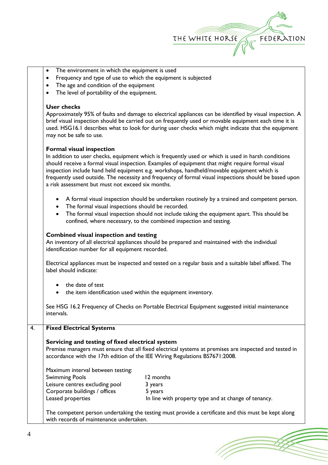

- The environment in which the equipment is used
- Frequency and type of use to which the equipment is subjected
- The age and condition of the equipment
- The level of portability of the equipment.

## **User checks**

Approximately 95% of faults and damage to electrical appliances can be identified by visual inspection. A brief visual inspection should be carried out on frequently used or movable equipment each time it is used. HSG16.1 describes what to look for during user checks which might indicate that the equipment may not be safe to use.

#### **Formal visual inspection**

In addition to user checks, equipment which is frequently used or which is used in harsh conditions should receive a formal visual inspection. Examples of equipment that might require formal visual inspection include hand held equipment e.g. workshops, handheld/movable equipment which is frequently used outside. The necessity and frequency of formal visual inspections should be based upon a risk assessment but must not exceed six months.

- A formal visual inspection should be undertaken routinely by a trained and competent person.
- The formal visual inspections should be recorded.
- The formal visual inspection should not include taking the equipment apart. This should be confined, where necessary, to the combined inspection and testing.

#### **Combined visual inspection and testing**

An inventory of all electrical appliances should be prepared and maintained with the individual identification number for all equipment recorded.

Electrical appliances must be inspected and tested on a regular basis and a suitable label affixed. The label should indicate:

- the date of test
- the item identification used within the equipment inventory.

See HSG 16.2 Frequency of Checks on Portable Electrical Equipment suggested initial maintenance intervals.

## 4. **Fixed Electrical Systems**

## **Servicing and testing of fixed electrical system**

Premise managers must ensure that all fixed electrical systems at premises are inspected and tested in accordance with the 17th edition of the IEE Wiring Regulations BS7671:2008.

Maximum interval between testing:

| 12 months                                            |
|------------------------------------------------------|
| 3 years                                              |
| 5 years                                              |
| In line with property type and at change of tenancy. |
|                                                      |

The competent person undertaking the testing must provide a certificate and this must be kept along with records of maintenance undertaken.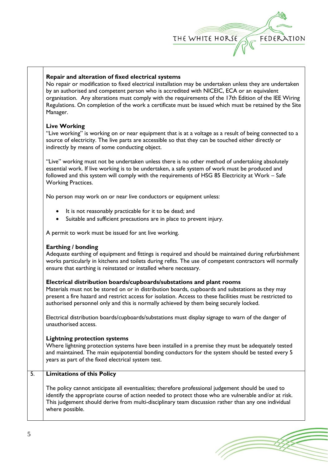

## **Repair and alteration of fixed electrical systems**

No repair or modification to fixed electrical installation may be undertaken unless they are undertaken by an authorised and competent person who is accredited with NICEIC, ECA or an equivalent organisation. Any alterations must comply with the requirements of the 17th Edition of the IEE Wiring Regulations. On completion of the work a certificate must be issued which must be retained by the Site Manager.

## **Live Working**

"Live working" is working on or near equipment that is at a voltage as a result of being connected to a source of electricity. The live parts are accessible so that they can be touched either directly or indirectly by means of some conducting object.

"Live" working must not be undertaken unless there is no other method of undertaking absolutely essential work. If live working is to be undertaken, a safe system of work must be produced and followed and this system will comply with the requirements of HSG 85 Electricity at Work – Safe Working Practices.

No person may work on or near live conductors or equipment unless:

- It is not reasonably practicable for it to be dead; and
- Suitable and sufficient precautions are in place to prevent injury.

A permit to work must be issued for ant live working.

## **Earthing / bonding**

Adequate earthing of equipment and fittings is required and should be maintained during refurbishment works particularly in kitchens and toilets during refits. The use of competent contractors will normally ensure that earthing is reinstated or installed where necessary.

## **Electrical distribution boards/cupboards/substations and plant rooms**

Materials must not be stored on or in distribution boards, cupboards and substations as they may present a fire hazard and restrict access for isolation. Access to these facilities must be restricted to authorised personnel only and this is normally achieved by them being securely locked.

Electrical distribution boards/cupboards/substations must display signage to warn of the danger of unauthorised access.

## **Lightning protection systems**

Where lightning protection systems have been installed in a premise they must be adequately tested and maintained. The main equipotential bonding conductors for the system should be tested every 5 years as part of the fixed electrical system test.

## 5. **Limitations of this Policy**

The policy cannot anticipate all eventualities; therefore professional judgement should be used to identify the appropriate course of action needed to protect those who are vulnerable and/or at risk. This judgement should derive from multi-disciplinary team discussion rather than any one individual where possible.